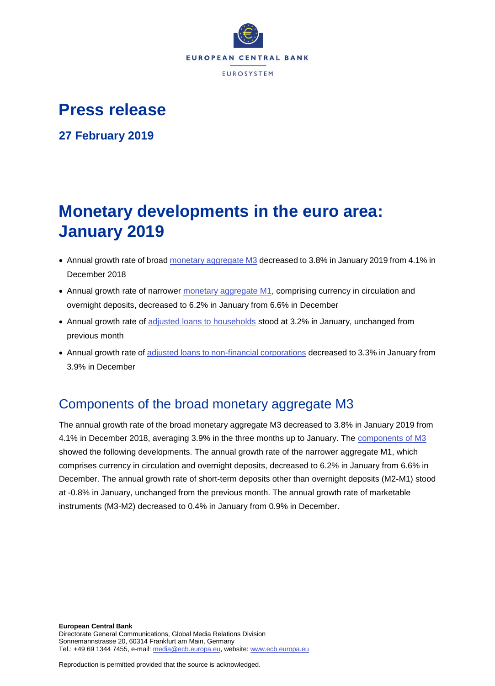

# **Press release**

**27 February 2019**

# **Monetary developments in the euro area: January 2019**

- Annual growth rate of broad [monetary aggregate M3](http://sdw.ecb.europa.eu/browseSelection.do?type=series&q=BSI.M.U2.Y.V.M30.X.I.U2.2300.Z01.A&node=SEARCHRESULTS) decreased to 3.8% in January 2019 from 4.1% in December 2018
- Annual growth rate of narrower [monetary aggregate M1,](http://sdw.ecb.europa.eu/browseSelection.do?type=series&q=BSI.M.U2.Y.V.M10.X.I.U2.2300.Z01.A&node=SEARCHRESULTS) comprising currency in circulation and overnight deposits, decreased to 6.2% in January from 6.6% in December
- Annual growth rate of [adjusted loans to households](http://sdw.ecb.europa.eu/browseSelection.do?type=series&q=BSI.M.U2.Y.U.A20T.A.I.U2.2250.Z01.A&node=SEARCHRESULTS) stood at 3.2% in January, unchanged from previous month
- Annual growth rate of [adjusted loans to non-financial corporations](http://sdw.ecb.europa.eu/browseSelection.do?type=series&q=BSI.M.U2.Y.U.A20T.A.I.U2.2240.Z01.A&node=SEARCHRESULTS) decreased to 3.3% in January from 3.9% in December

## Components of the broad monetary aggregate M3

The annual growth rate of the broad monetary aggregate M3 decreased to 3.8% in January 2019 from 4.1% in December 2018, averaging 3.9% in the three months up to January. The [components of M3](http://sdw.ecb.europa.eu/browseSelection.do?type=series&q=BSI.M.U2.Y.V.M30.X.I.U2.2300.Z01.A+BSI.M.U2.Y.V.M10.X.I.U2.2300.Z01.A+BSI.M.U2.Y.V.L2A.M.I.U2.2300.Z01.A+BSI.M.U2.Y.V.LT3.L.I.U2.2300.Z01.A&node=SEARCHRESULTS) showed the following developments. The annual growth rate of the narrower aggregate M1, which comprises currency in circulation and overnight deposits, decreased to 6.2% in January from 6.6% in December. The annual growth rate of short-term deposits other than overnight deposits (M2-M1) stood at -0.8% in January, unchanged from the previous month. The annual growth rate of marketable instruments (M3-M2) decreased to 0.4% in January from 0.9% in December.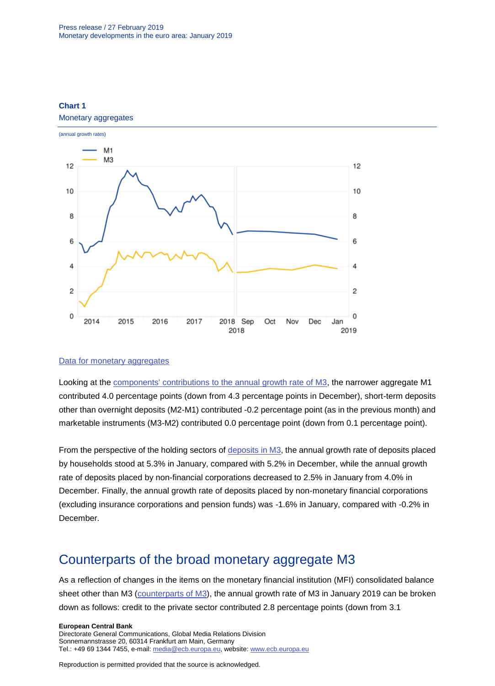

#### **Chart 1** Monetary aggregates

#### [Data for monetary aggregates](http://sdw.ecb.europa.eu/browseSelection.do?type=series&q=BSI.M.U2.Y.V.M30.X.I.U2.2300.Z01.A+BSI.M.U2.Y.V.M10.X.I.U2.2300.Z01.A&node=SEARCHRESULTS)

Looking at the [components' contributions to the annual growth rate of M3,](http://sdw.ecb.europa.eu/browseSelection.do?type=series&q=BSI.M.U2.Y.V.M10.X.Q.U2.2300.Z01.F+BSI.M.U2.Y.V.L2A.M.Q.U2.2300.Z01.F+BSI.M.U2.Y.V.LT3.L.Q.U2.2300.Z01.F&node=SEARCHRESULTS) the narrower aggregate M1 contributed 4.0 percentage points (down from 4.3 percentage points in December), short-term deposits other than overnight deposits (M2-M1) contributed -0.2 percentage point (as in the previous month) and marketable instruments (M3-M2) contributed 0.0 percentage point (down from 0.1 percentage point).

From the perspective of the holding sectors of [deposits in M3,](http://sdw.ecb.europa.eu/browseSelection.do?type=series&q=BSI.M.U2.Y.V.L2C.M.I.U2.2250.Z01.A+BSI.M.U2.Y.V.L2C.M.I.U2.2240.Z01.A+BSI.M.U2.Y.V.L2C.M.I.U2.2210.Z01.A&node=SEARCHRESULTS) the annual growth rate of deposits placed by households stood at 5.3% in January, compared with 5.2% in December, while the annual growth rate of deposits placed by non-financial corporations decreased to 2.5% in January from 4.0% in December. Finally, the annual growth rate of deposits placed by non-monetary financial corporations (excluding insurance corporations and pension funds) was -1.6% in January, compared with -0.2% in December.

## Counterparts of the broad monetary aggregate M3

As a reflection of changes in the items on the monetary financial institution (MFI) consolidated balance sheet other than M3 [\(counterparts of M3\)](http://sdw.ecb.europa.eu/browseSelection.do?type=series&q=BSI.M.U2.Y.V.M30.X.I.U2.2300.Z01.A+BSI.M.U2.Y.U.LT2.X.Q.Z5.0000.Z01.F+BSI.M.U2.Y.U.A80.A.Q.U4.0000.Z01.F+BSI.M.U2.Y.U.AT2.A.Q.U2.2100.Z01.F+BSI.M.U2.Y.U.AT2.A.Q.U2.2200.Z01.F+BSI.M.U2.Y.U.R31A.X.Q.Z5.0000.Z01.F&node=SEARCHRESULTS), the annual growth rate of M3 in January 2019 can be broken down as follows: credit to the private sector contributed 2.8 percentage points (down from 3.1

**European Central Bank**

Directorate General Communications, Global Media Relations Division Sonnemannstrasse 20, 60314 Frankfurt am Main, Germany Tel.: +49 69 1344 7455, e-mail: [media@ecb.europa.eu,](mailto:media@ecb.europa.eu) website[: www.ecb.europa.eu](http://www.ecb.europa.eu/)

Reproduction is permitted provided that the source is acknowledged.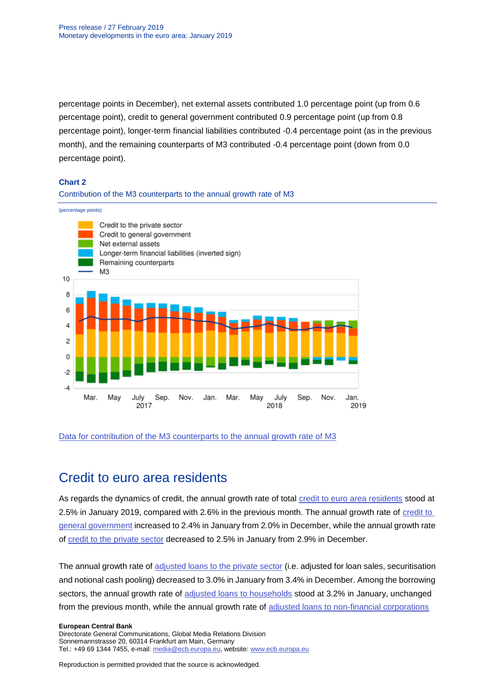percentage points in December), net external assets contributed 1.0 percentage point (up from 0.6 percentage point), credit to general government contributed 0.9 percentage point (up from 0.8 percentage point), longer-term financial liabilities contributed -0.4 percentage point (as in the previous month), and the remaining counterparts of M3 contributed -0.4 percentage point (down from 0.0 percentage point).

#### **Chart 2**

#### Contribution of the M3 counterparts to the annual growth rate of M3

(percentage points)



#### [Data for contribution of the M3 counterparts to the annual growth rate of M3](http://sdw.ecb.europa.eu/browseSelection.do?type=series&q=BSI.M.U2.Y.V.M30.X.I.U2.2300.Z01.A+BSI.M.U2.Y.U.LT2.X.Q.Z5.0000.Z01.F+BSI.M.U2.Y.U.A80.A.Q.U4.0000.Z01.F+BSI.M.U2.Y.U.AT2.A.Q.U2.2100.Z01.F+BSI.M.U2.Y.U.AT2.A.Q.U2.2200.Z01.F+BSI.M.U2.Y.U.R31A.X.Q.Z5.0000.Z01.F&node=SEARCHRESULTS)

## Credit to euro area residents

As regards the dynamics of credit, the annual growth rate of total [credit to euro area residents](http://sdw.ecb.europa.eu/browseSelection.do?type=series&q=BSI.M.U2.Y.U.AT2.A.I.U2.2000.Z01.A&node=SEARCHRESULTS) stood at 2.5% in January 2019, compared with 2.6% in the previous month. The annual growth rate of [credit to](http://sdw.ecb.europa.eu/browseSelection.do?type=series&q=BSI.M.U2.Y.U.AT2.A.I.U2.2100.Z01.A&node=SEARCHRESULTS)  [general government](http://sdw.ecb.europa.eu/browseSelection.do?type=series&q=BSI.M.U2.Y.U.AT2.A.I.U2.2100.Z01.A&node=SEARCHRESULTS) increased to 2.4% in January from 2.0% in December, while the annual growth rate of [credit to the private sector](http://sdw.ecb.europa.eu/browseSelection.do?type=series&q=BSI.M.U2.Y.U.AT2.A.I.U2.2200.Z01.A&node=SEARCHRESULTS) decreased to 2.5% in January from 2.9% in December.

The annual growth rate of [adjusted loans to the private sector](http://sdw.ecb.europa.eu/browseSelection.do?type=series&q=BSI.M.U2.Y.U.A20TA.A.I.U2.2200.Z01.A&node=SEARCHRESULTS) (i.e. adjusted for loan sales, securitisation and notional cash pooling) decreased to 3.0% in January from 3.4% in December. Among the borrowing sectors, the annual growth rate of [adjusted loans to households](http://sdw.ecb.europa.eu/browseSelection.do?type=series&q=BSI.M.U2.Y.U.A20T.A.I.U2.2250.Z01.A&node=SEARCHRESULTS) stood at 3.2% in January, unchanged from the previous month, while the annual growth rate of [adjusted loans to non-financial corporations](http://sdw.ecb.europa.eu/browseSelection.do?type=series&q=BSI.M.U2.Y.U.A20T.A.I.U2.2240.Z01.A&node=SEARCHRESULTS)

#### **European Central Bank**

Directorate General Communications, Global Media Relations Division Sonnemannstrasse 20, 60314 Frankfurt am Main, Germany Tel.: +49 69 1344 7455, e-mail: [media@ecb.europa.eu,](mailto:media@ecb.europa.eu) website[: www.ecb.europa.eu](http://www.ecb.europa.eu/)

Reproduction is permitted provided that the source is acknowledged.